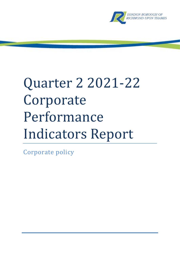

# Quarter 2 2021-22 Corporate Performance Indicators Report

Corporate policy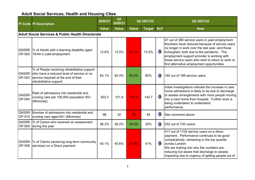## Adult Social Services, Health and Housing Cttee

|                  | <b>PI Code PI Description</b>                                                                                                                                      | 2020/21      | Q2<br>2020/21 |       | Q2 2021/22    |                    | Q2 2021/22                                                                                                                                                                                                                                                                                                                                         |  |  |  |  |  |  |
|------------------|--------------------------------------------------------------------------------------------------------------------------------------------------------------------|--------------|---------------|-------|---------------|--------------------|----------------------------------------------------------------------------------------------------------------------------------------------------------------------------------------------------------------------------------------------------------------------------------------------------------------------------------------------------|--|--|--|--|--|--|
|                  |                                                                                                                                                                    | <b>Value</b> | <b>Value</b>  | Value | <b>Target</b> | <b>DoT</b>         | <b>Note</b>                                                                                                                                                                                                                                                                                                                                        |  |  |  |  |  |  |
|                  | Adult Social Services & Public Health Directorate                                                                                                                  |              |               |       |               |                    |                                                                                                                                                                                                                                                                                                                                                    |  |  |  |  |  |  |
|                  | DASSR-  % of Adults with a learning disability aged<br>OP-002 18-64 in paid employment                                                                             | 12.6%        | 13.5%         | 12.1% | 13.5%         | U                  | 47 out of 390 service users in paid employment.<br>Numbers have reduced because of service users<br>no longer in work over the last year, and those<br>furloughed, both due to the pandemic. The<br>employment support provider is working with<br>those service users who wish to return to work or<br>find alternative employment opportunities. |  |  |  |  |  |  |
| OP-003           | % of People receiving rehabilitative support<br>DASSR- who have a reduced level of service or no<br>service required at the end of their<br>rehabilitative support | 83.1%        | 82.4%         | 90.5% | 85%           | 4 <sub>r</sub>     | 180 out of 199 service users.                                                                                                                                                                                                                                                                                                                      |  |  |  |  |  |  |
| DASSR-<br>OP-004 | Rate of admissions into residential and<br>nursing care per 100,000 population 65+<br>(Minimise)                                                                   | 303.3        | 101.9         | 181.4 | 140.7         | $\sqrt{2}$         | Initial investigations indicate the increase in care<br>home admissions is likely to be due to discharge<br>to assess arrangements with more people moving<br>into a care home from hospital. Further work is<br>being undertaken to understand<br>performance.                                                                                    |  |  |  |  |  |  |
|                  | DASSR- Number of admissions into residential and<br>OP-010   nursing care aged 65+ (Minimise)                                                                      | 98           | 32            | 58    | 45            | ₩                  | See comment above.                                                                                                                                                                                                                                                                                                                                 |  |  |  |  |  |  |
|                  | DASSR- 1% of Carers who received an assessment<br>OP-005 during the year                                                                                           | 56.3%        | 28.2%         | 34.5% | 30%           | $\left\  \right\ $ | 252 out of 730 carers                                                                                                                                                                                                                                                                                                                              |  |  |  |  |  |  |
|                  | DASSR-  % of Clients (receiving long-term community<br>OP-006 Services) on a Direct payment                                                                        | 40.1%        | 40.6%         | 37.8% | 41%           | JL                 | 417 out of 1104 service users on a direct<br>payment. Performance continues to be good<br>comparatively, remaining in the top quartile<br>across London.<br>We are looking into why the numbers are<br>reducing but aware that discharge to assess<br>impacting due to urgency of getting people out of                                            |  |  |  |  |  |  |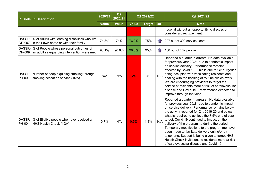|               | <b>PI Code PI Description</b>                                                                     | 2020/21      | Q2<br>2020/21 |              | Q2 2021/22    |            | Q2 2021/22                                                                                                                                                                                                                                                                                                                                                                                                                                                                                                                                                                                                       |
|---------------|---------------------------------------------------------------------------------------------------|--------------|---------------|--------------|---------------|------------|------------------------------------------------------------------------------------------------------------------------------------------------------------------------------------------------------------------------------------------------------------------------------------------------------------------------------------------------------------------------------------------------------------------------------------------------------------------------------------------------------------------------------------------------------------------------------------------------------------------|
|               |                                                                                                   | <b>Value</b> | <b>Value</b>  | <b>Value</b> | <b>Target</b> | <b>DoT</b> | <b>Note</b>                                                                                                                                                                                                                                                                                                                                                                                                                                                                                                                                                                                                      |
|               |                                                                                                   |              |               |              |               |            | hospital without an opportunity to discuss or<br>consider a direct payment.                                                                                                                                                                                                                                                                                                                                                                                                                                                                                                                                      |
| <b>OP-007</b> | DASSR-  % of Adults with learning disabilities who live<br>in their own home or with their family | 74.8%        | 74%           | 76.2%        | 75%           | $1$ r      | 297 out of 390 service users.                                                                                                                                                                                                                                                                                                                                                                                                                                                                                                                                                                                    |
| <b>OP-009</b> | DASSR- % of People whose personal outcomes of<br>an adult safeguarding intervention were met      | 98.1%        | 96.6%         | 98.8%        | 95%           | $\bigcap$  | 160 out of 162 people.                                                                                                                                                                                                                                                                                                                                                                                                                                                                                                                                                                                           |
| <b>PH-003</b> | DASSR- Number of people quitting smoking through<br>smoking cessation service (1QA)               | N/A          | N/A           | 24           | 40            | N/A        | Reported a quarter in arrears. No data available<br>for previous year 20/21 due to pandemic impact<br>on service delivery. Performance remains<br>affected by Covid-19. This is due to GP surgeries<br>being occupied with vaccinating residents and<br>dealing with the backlog of routine clinical work.<br>We are encouraging providers to target the<br>Iservice at residents more at risk of cardiovascular<br>disease and Covid-19. Performance expected to<br>improve through the year.                                                                                                                   |
| <b>PH-004</b> | DASSR- % of Eligible people who have received an<br>NHS Health Check (1QA)                        | 0.7%         | N/A           | 0.5%         | 1.8%          | N/A        | Reported a quarter in arrears. No data available<br>for previous year 20/21 due to pandemic impact<br>on service delivery. Performance remains below<br>the activity reported for Q1, 2019-20 and below<br>what is required to achieve the 7.5% end of year<br>target. Covid-19 continued to impact on the<br>delivery of the programme during the period.<br>Temporary modifications to the programme have<br>been made to facilitate delivery online/or by<br>telephone. Support is being given to target NHS<br>Health Check invitations to residents more at risk<br>of cardiovascular disease and Covid-19. |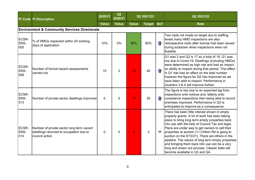|                      | <b>PI Code PI Description</b>                                                                          | 2020/21      | Q2<br>2020/21  |              | Q2 2021/22    |                    | Q2 2021/22                                                                                                                                                                                                                                                                                                                                                                                                                                                                                                                                                  |  |  |  |  |  |  |
|----------------------|--------------------------------------------------------------------------------------------------------|--------------|----------------|--------------|---------------|--------------------|-------------------------------------------------------------------------------------------------------------------------------------------------------------------------------------------------------------------------------------------------------------------------------------------------------------------------------------------------------------------------------------------------------------------------------------------------------------------------------------------------------------------------------------------------------------|--|--|--|--|--|--|
|                      |                                                                                                        | <b>Value</b> | <b>Value</b>   | <b>Value</b> | <b>Target</b> | <b>DoT</b>         | <b>Note</b>                                                                                                                                                                                                                                                                                                                                                                                                                                                                                                                                                 |  |  |  |  |  |  |
|                      | <b>Environment &amp; Community Services Directorate</b>                                                |              |                |              |               |                    |                                                                                                                                                                                                                                                                                                                                                                                                                                                                                                                                                             |  |  |  |  |  |  |
| ECSR-<br>ENS-<br>005 | % of HMOs inspected within 20 working<br>days of application                                           | 10%          | 0%             | 90%          | 80%           | $\bigcap$          | Two visits not made on target due to staffing<br>levels many HMO inspections are also<br>retrospective visits after license had been issued<br>during lockdown when inspections were not<br>feasible.                                                                                                                                                                                                                                                                                                                                                       |  |  |  |  |  |  |
| ECSR-<br>ENS-<br>006 | Number of formal hazard assessments<br>carried out                                                     | 10           | $\overline{2}$ | 19           | 40            | $\mathbf{f}$       | $Q1$ was 2 and Q2 is 17 so a total of 19. Q1 was<br>low due to Covid-19. Dwellings (including HMOs)<br>were determined as high risk and had an impact<br>on ability to inspect during that period. This effect<br>$\left $ in Q1 has had an effect on the total number<br>however the figure for Q2 has improved as we<br>have been able to inspect. Performance in<br>Quarters 3 & 4 will improve further.                                                                                                                                                 |  |  |  |  |  |  |
| ECSR-<br>ENS-<br>013 | Number of private sector dwellings improved                                                            | $\mathbf 0$  | $\Omega$       | 15           | 35            | $\left\  \right\ $ | The figure is low due to an expected lag from<br>inspections onto notices and, latterly onto<br>compliance inspections then being able to record<br>premises improved. Performance in Q3 is<br>anticipated to improve as a consequence.                                                                                                                                                                                                                                                                                                                     |  |  |  |  |  |  |
| ECSR-<br>ENS-<br>014 | Number of private sector long term vacant<br>dwellings returned to occupation due to<br>council action | $\mathbf 0$  | $\Omega$       | $\Omega$     | 3             | W.                 | There has been little interest shown in empty<br>property grants. A lot of work has been taking<br>place to bring long term empty properties back<br>into use with the help of Council Tax and legal.<br>Plans are under way to get owners to sell their<br>properties at auction (11 Chilton Rd is going to<br>auction on the 5/10/21). There are others in the<br>pipeline. The nature of long term empty properties<br>and bringing them back into use can be a very<br>long and drawn out process. Clearer stats will<br>become available in Q3 and Q4. |  |  |  |  |  |  |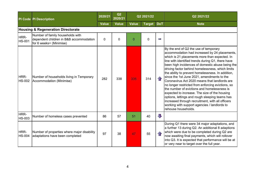|                       | <b>PI Code PI Description</b>                                                                          | 2020/21      | Q2<br>2020/21 |              | Q2 2021/22    |                         | Q2 2021/22                                                                                                                                                                                                                                                                                                                                                                                                                                                                                                                                                                                                                                                                                                                                                                                 |
|-----------------------|--------------------------------------------------------------------------------------------------------|--------------|---------------|--------------|---------------|-------------------------|--------------------------------------------------------------------------------------------------------------------------------------------------------------------------------------------------------------------------------------------------------------------------------------------------------------------------------------------------------------------------------------------------------------------------------------------------------------------------------------------------------------------------------------------------------------------------------------------------------------------------------------------------------------------------------------------------------------------------------------------------------------------------------------------|
|                       |                                                                                                        | <b>Value</b> | <b>Value</b>  | <b>Value</b> | <b>Target</b> | <b>DoT</b>              | <b>Note</b>                                                                                                                                                                                                                                                                                                                                                                                                                                                                                                                                                                                                                                                                                                                                                                                |
|                       | <b>Housing &amp; Regeneration Directorate</b>                                                          |              |               |              |               |                         |                                                                                                                                                                                                                                                                                                                                                                                                                                                                                                                                                                                                                                                                                                                                                                                            |
| HRR-<br><b>HS-001</b> | Number of family households with<br>dependent children in B&B accommodation<br>for 6 weeks+ (Minimise) | 0            | $\mathbf 0$   | $\Omega$     | $\mathbf 0$   | W.                      |                                                                                                                                                                                                                                                                                                                                                                                                                                                                                                                                                                                                                                                                                                                                                                                            |
| HRR-<br><b>HS-002</b> | Number of households living in Temporary<br>Accommodation (Minimise)                                   | 282          | 338           | 335          | 314           |                         | By the end of Q2 the use of temporary<br>accommodation had increased by 24 placements,<br>which is 21 placements more than expected. In<br>line with identified trends during Q1, there have<br>been high incidences of domestic abuse being the<br>driving factor behind homelessness, which limits<br>the ability to prevent homelessness. In addition,<br>since the 1st June 2021, amendments to the<br>Coronavirus Act 2020 means that landlords are<br>no longer restricted from enforcing evictions, so<br>the number of evictions and homelessness is<br>expected to increase. The size of the housing<br>options, lettings and rough sleeping teams has<br>increased through recruitment, with all officers<br>working with support agencies / landlords to<br>rehouse households. |
| HRR-<br><b>HS-003</b> | Number of homeless cases prevented                                                                     | 86           | 57            | 51           | 40            | $\overline{\mathbf{J}}$ |                                                                                                                                                                                                                                                                                                                                                                                                                                                                                                                                                                                                                                                                                                                                                                                            |
| HRR-<br><b>HS-004</b> | Number of properties where major disability<br>adaptations have been completed                         | 97           | 38            | 47           | 55            |                         | During Q1 there were 34 major adaptations, and<br>a further 13 during Q2. An additional 8 adaptions<br>which were due to be completed during Q2 are<br>now awaiting final payments, which will rollover<br>into Q3. It is expected that performance will be at<br>or very near to target over the full year.                                                                                                                                                                                                                                                                                                                                                                                                                                                                               |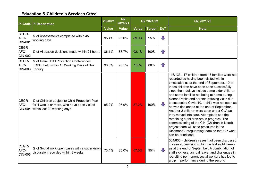### Education & Children's Services Cttee

|                                  | <b>PI Code PI Description</b>                                                                                                       | 2020/21      | Q2<br>2020/21 |              | Q2 2021/22    |                         | Q2 2021/22                                                                                                                                                                                                                                                                                                                                                                                                                                                                                                                                                                                                                                                                                                                                     |
|----------------------------------|-------------------------------------------------------------------------------------------------------------------------------------|--------------|---------------|--------------|---------------|-------------------------|------------------------------------------------------------------------------------------------------------------------------------------------------------------------------------------------------------------------------------------------------------------------------------------------------------------------------------------------------------------------------------------------------------------------------------------------------------------------------------------------------------------------------------------------------------------------------------------------------------------------------------------------------------------------------------------------------------------------------------------------|
|                                  |                                                                                                                                     | <b>Value</b> | <b>Value</b>  | <b>Value</b> | <b>Target</b> | <b>DoT</b>              | <b>Note</b>                                                                                                                                                                                                                                                                                                                                                                                                                                                                                                                                                                                                                                                                                                                                    |
| CEGR-<br>AFC-<br><b>CIN-001</b>  | % of Assessments completed within 45<br>working days                                                                                | 95.4%        | 95.0%         | 89.9%        | 95%           | $\overline{\mathbf{u}}$ |                                                                                                                                                                                                                                                                                                                                                                                                                                                                                                                                                                                                                                                                                                                                                |
| CEGR-<br>AFC-<br><b>CIN-002</b>  | % of Allocation decisions made within 24 hours                                                                                      | 86.1%        | 88.7%         | 92.1%        | 100%          | 仚                       |                                                                                                                                                                                                                                                                                                                                                                                                                                                                                                                                                                                                                                                                                                                                                |
| CEGR-<br>AFC-<br>CIN-003 Enquiry | % of Initial Child Protection Conferences<br>(ICPC) held within 15 Working Days of S47                                              | 98.0%        | 95.5%         | 100%         | 88%           | 介                       |                                                                                                                                                                                                                                                                                                                                                                                                                                                                                                                                                                                                                                                                                                                                                |
| CEGR-<br>AFC-                    | % of Children subject to Child Protection Plan<br>for 4 weeks or more, who have been visited<br>CIN-004 within last 20 working days | 95.2%        | 97.9%         | 87.2%        | 100%          | Л,                      | 116/133 - 17 children from 13 families were not<br>recorded as having been visited within<br>timescales as at the end of September. 10 of<br>these children have been seen successfully<br>since then, delays include some older children<br>and some families not being at home during<br>planned visits and parents refusing visits due<br>to suspected Covid-19. 1 child was not seen as<br>he was deplanned at the end of September.<br>Another 2 children were seen under CLA as<br>they moved into care. Attempts to see the<br>remaining 4 children are in progress. The<br>commissioning of the CiN (Children in Need)<br>project team will ease pressures in the<br>Richmond Safeguarding team so that CP work<br>can be prioritised. |
| CEGR-<br>AFC-<br><b>CIN-006</b>  | % of Social work open cases with a supervision<br>discussion recorded within 8 weeks                                                | 73.4%        | 85.0%         | 67.5%        | 95%           | 几                       | 564/836 - children's cases had been discussed<br>in case supervision within the last eight weeks<br>as at the end of September. A combination of<br>staff sickness, annual leave, and challenges in<br>recruiting permanent social workers has led to<br>a dip in performance during the second                                                                                                                                                                                                                                                                                                                                                                                                                                                |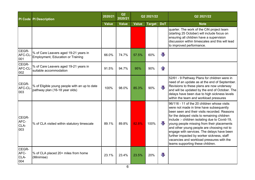|                              | <b>PI Code PI Description</b>                                                     | 2020/21      | Q2<br>2020/21 |              | Q2 2021/22    |                         | Q2 2021/22                                                                                                                                                                                                                                                                                                                                                                                                                                                                                                        |
|------------------------------|-----------------------------------------------------------------------------------|--------------|---------------|--------------|---------------|-------------------------|-------------------------------------------------------------------------------------------------------------------------------------------------------------------------------------------------------------------------------------------------------------------------------------------------------------------------------------------------------------------------------------------------------------------------------------------------------------------------------------------------------------------|
|                              |                                                                                   | <b>Value</b> | <b>Value</b>  | <b>Value</b> | <b>Target</b> | <b>DoT</b>              | <b>Note</b>                                                                                                                                                                                                                                                                                                                                                                                                                                                                                                       |
|                              |                                                                                   |              |               |              |               |                         | quarter. The work of the CiN project team<br>(starting 25 October) will include focus on<br>ensuring all children have a supervision<br>discussion within timescales and this will lead<br>to improved performance.                                                                                                                                                                                                                                                                                               |
| CEGR-<br>AFC-CL-<br>001      | % of Care Leavers aged 19-21 years in<br><b>Employment, Education or Training</b> | 66.0%        | 74.7%         | 57.5%        | 60%           | $\sqrt{2}$              |                                                                                                                                                                                                                                                                                                                                                                                                                                                                                                                   |
| CEGR-<br>AFC-CL<br>002       | % of Care Leavers aged 19-21 years in<br>suitable accommodation                   | 91.5%        | 94.7%         | 95%          | 90%           | $\mathbf{r}$            |                                                                                                                                                                                                                                                                                                                                                                                                                                                                                                                   |
| CEGR-<br>AFC-CL<br>003       | % of Eligible young people with an up to date<br>pathway plan (16-18 year olds)   | 100%         | 98.0%         | 85.3%        | 90%           | JТ,                     | 52/61 - 9 Pathway Plans for children were in<br>need of an update as at the end of September.<br>Revisions to these plans are now underway<br>and will be updated by the end of October. The<br>delays have been due to high sickness levels<br>within the team and workload pressures                                                                                                                                                                                                                            |
| CEGR-<br>AFC-<br>CLA-<br>003 | % of CLA visited within statutory timescale                                       | 89.1%        | 89.8%         | 82.8%        | 100%          | 业                       | 96/116 - 11 of the 20 children whose visits<br>were not made in time have subsequently<br>been seen and their visits recorded. Reasons<br>for the delayed visits to remaining children<br>include :- children isolating due to Covid-19,<br>young people missing from their placements<br>and other young people are choosing not to<br>engage with services. The delays have been<br>further impacted by worker sickness, staff<br>vacancies and workload pressures with the<br>teams supporting these children. |
| CEGR-<br>AFC-<br>CLA-<br>004 | % of CLA placed 20+ miles from home<br>(Minimise)                                 | 23.1%        | 23.4%         | 23.5%        | 20%           | $\overline{\mathbb{L}}$ |                                                                                                                                                                                                                                                                                                                                                                                                                                                                                                                   |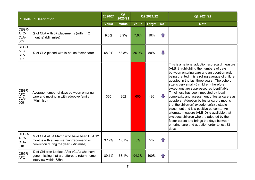|                              | <b>PI Code PI Description</b>                                                                                                    | 2020/21      | Q2<br>2020/21 |              | Q2 2021/22    |                         | Q2 2021/22                                                                                                                                                                                                                                                                                                                                                                                                                                                                                                                                                                                                                                                                                                                                                                 |
|------------------------------|----------------------------------------------------------------------------------------------------------------------------------|--------------|---------------|--------------|---------------|-------------------------|----------------------------------------------------------------------------------------------------------------------------------------------------------------------------------------------------------------------------------------------------------------------------------------------------------------------------------------------------------------------------------------------------------------------------------------------------------------------------------------------------------------------------------------------------------------------------------------------------------------------------------------------------------------------------------------------------------------------------------------------------------------------------|
|                              |                                                                                                                                  | <b>Value</b> | <b>Value</b>  | <b>Value</b> | <b>Target</b> | <b>DoT</b>              | <b>Note</b>                                                                                                                                                                                                                                                                                                                                                                                                                                                                                                                                                                                                                                                                                                                                                                |
| CEGR-<br>AFC-<br>CLA-<br>005 | % of CLA with 3+ placements (within 12<br>months) (Minimise)                                                                     | 9.0%         | 8.9%          | 7.6%         | 10%           | $\mathbf{r}$            |                                                                                                                                                                                                                                                                                                                                                                                                                                                                                                                                                                                                                                                                                                                                                                            |
| CEGR-<br>AFC-<br>CLA-<br>007 | % of CLA placed with in-house foster carer                                                                                       | 68.0%        | 63.8%         | 56.9%        | 50%           | $\overline{\mathbb{J}}$ |                                                                                                                                                                                                                                                                                                                                                                                                                                                                                                                                                                                                                                                                                                                                                                            |
| CEGR-<br>AFC-<br>CLA-<br>009 | Average number of days between entering<br>care and moving in with adoptive family<br>(Minimise)                                 | 365          | 362           | 605          | 426           | J                       | This is a national adoption scorecard measure<br>(ALB1) highlighting the numbers of days<br>between entering care and an adoption order<br>being granted. It is a rolling average of children<br>adopted in the last three years. The cohort<br>size is very small (5 children) therefore<br>exceptions are suppressed as identifiable.<br>Timeliness has been impacted by legal<br>complexity and assessment of foster carers as<br>adopters. Adoption by foster carers means<br>that the child(ren) experience(s) a stable<br>placement and is a positive outcome. An<br>alternate measure (ALB10) is available that<br>excludes children who are adopted by their<br>foster carers and brings the days between<br>entering care and adoption order to just 331<br>days. |
| CEGR-<br>AFC-<br>CLA-<br>010 | % of CLA at 31 March who have been CLA 12+<br>months with a final warning/reprimand or<br>conviction during the year. (Minimise) | 3.17%        | 1.61%         | 0%           | 5%            | $\mathbf{r}$            |                                                                                                                                                                                                                                                                                                                                                                                                                                                                                                                                                                                                                                                                                                                                                                            |
| CEGR-<br>AFC-                | % of Children Looked After (CLA) who have<br>gone missing that are offered a return home<br>interview within 72hrs               | 89.1%        | 68.1%         | 94.3%        | 100%          | $\mathbf{r}$            |                                                                                                                                                                                                                                                                                                                                                                                                                                                                                                                                                                                                                                                                                                                                                                            |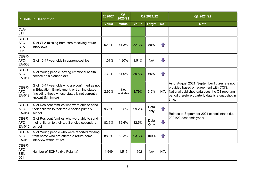|                              | <b>PI Code PI Description</b>                                                                                                                                        | 2020/21      | Q2<br>2020/21           |              | Q2 2021/22    |              | Q2 2021/22                                                                                                                                                                                           |
|------------------------------|----------------------------------------------------------------------------------------------------------------------------------------------------------------------|--------------|-------------------------|--------------|---------------|--------------|------------------------------------------------------------------------------------------------------------------------------------------------------------------------------------------------------|
|                              |                                                                                                                                                                      | <b>Value</b> | <b>Value</b>            | <b>Value</b> | <b>Target</b> | <b>DoT</b>   | <b>Note</b>                                                                                                                                                                                          |
| CLA-<br>011                  |                                                                                                                                                                      |              |                         |              |               |              |                                                                                                                                                                                                      |
| CEGR-<br>AFC-<br>CLA-<br>002 | % of CLA missing from care receiving return<br>interviews                                                                                                            | 52.8%        | 41.3%                   | 52.3%        | 50%           | $\mathbf{r}$ |                                                                                                                                                                                                      |
| CEGR-<br>AFC-<br>EA-008      | % of 16-17 year olds in apprenticeships                                                                                                                              | 1.01%        | 1.90%                   | 1.51%        | N/A           | 几            |                                                                                                                                                                                                      |
| CEGR-<br>AFC-<br>EA-011      | % of Young people leaving emotional health<br>service as a planned exit                                                                                              | 73.9%        | 81.0%                   | 89.5%        | 65%           | $\mathbf{r}$ |                                                                                                                                                                                                      |
| CEGR-<br>AFC-<br>EA-012      | % of 16-17 year olds who are confirmed as not<br>in Education, Employment, or training status<br>(including those whose status is not currently<br>known) (Minimise) | 2.95%        | <b>Not</b><br>available | 3.79%        | 3.5%          | N/A          | As of August 2021. September figures are not<br>provided based on agreement with CCIS.<br>National published data uses the Q3 reporting<br>period therefore quarterly data is a snapshot in<br>time. |
| CEGR-<br>AFC-<br>EA-014      | % of Resident families who were able to send<br>their children to their top 3 choice primary<br>school                                                               | 96.5%        | 96.5%                   | 99.2%        | Data<br>only  | $\mathbf{r}$ | Relates to September 2021 school intake (i.e.,                                                                                                                                                       |
| CEGR-<br>AFC-<br>EA-015      | % of Resident families who were able to send<br>their children to their top 3 choice secondary<br>school                                                             | 82.6%        | 82.6%                   | 82.5%        | Data<br>Only  | 几            | 2021/22 academic year).                                                                                                                                                                              |
| CEGR-<br>AFC-<br>EA-016      | % of Young people who were reported missing<br>from home who are offered a return home<br>interview within 72 hrs                                                    | 88.0%        | 63.3%                   | 93.3%        | 100%          | $\mathbf{r}$ |                                                                                                                                                                                                      |
| CEGR-<br>AFC-<br>SEN-<br>001 | Number of ECHPs (No Polarity)                                                                                                                                        | 1,549        | 1,515                   | 1,602        | N/A           | N/A          |                                                                                                                                                                                                      |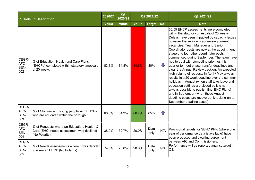|                              | <b>PI Code PI Description</b>                                                                            | 2020/21      | Q2<br>2020/21 |              | Q2 2021/22    |                         | Q2 2021/22                                                                                                                                                                                                                                                                                                                                                                                                                                                                                                                                                                                                                                                                                                                                                                                                                                                                        |
|------------------------------|----------------------------------------------------------------------------------------------------------|--------------|---------------|--------------|---------------|-------------------------|-----------------------------------------------------------------------------------------------------------------------------------------------------------------------------------------------------------------------------------------------------------------------------------------------------------------------------------------------------------------------------------------------------------------------------------------------------------------------------------------------------------------------------------------------------------------------------------------------------------------------------------------------------------------------------------------------------------------------------------------------------------------------------------------------------------------------------------------------------------------------------------|
|                              |                                                                                                          | <b>Value</b> | <b>Value</b>  | <b>Value</b> | <b>Target</b> | <b>DoT</b>              | <b>Note</b>                                                                                                                                                                                                                                                                                                                                                                                                                                                                                                                                                                                                                                                                                                                                                                                                                                                                       |
| CEGR-<br>AFC-<br>SEN-<br>002 | % of Education, Health and Care Plans<br>(EHCPs) completed within statutory timescale<br>of 20 weeks     | 83.3%        | 84.8%         | 54.6%        | 80%           | $\overline{\mathbb{L}}$ | 30/55 EHCP assessments were completed<br>within the statutory timescale of 20 weeks.<br>Delays have been impacted by capacity issues<br>however the service is addressing current<br>vacancies, Team Manager and Senior<br>Coordinator posts are now at the appointment<br>stage and four other coordinator posts<br>commenced during September. The team have<br>had to deal with competing priorities this<br>quarter to meet phase transfer deadlines and<br>clear the Annual Review backlog. An expected<br>high volume of requests in April / May always<br>results in a 20 week deadline over the summer<br>holidays in August (when staff take leave and<br>education settings are closed so it is not<br>always possible to publish final EHC Plans)<br>and in September (when those August<br>deadline cases are recovered, knocking-on to<br>September deadline cases). |
| CEGR-<br>AFC-<br>SEN-<br>003 | % of Children and young people with EHCPs<br>who are educated within the borough                         | 66.6%        | 61.9%         | 66.7%        | 65%           | $\mathbf{r}$            |                                                                                                                                                                                                                                                                                                                                                                                                                                                                                                                                                                                                                                                                                                                                                                                                                                                                                   |
| CEGR-<br>AFC-<br>SEN-<br>004 | % of Requests where an Education, Health, &<br>Care (EHC) needs assessment was declined<br>(No Polarity) | 38.9%        | 32.7%         | 20.0%        | Data<br>only  | N/A                     | Provisional targets for SEND KPIs (where one<br>year of performance data is available) have<br>been proposed and awaiting agreement                                                                                                                                                                                                                                                                                                                                                                                                                                                                                                                                                                                                                                                                                                                                               |
| CEGR-<br>AFC-<br>SEN-<br>005 | % of Needs assessments where it was decided<br>to issue an EHCP (No Polarity)                            | 74.6%        | 73.8%         | 98.6%        | Data<br>only  | N/A                     | between AfC and Commissioners.<br>Performance will be reported against target in<br>Q3.                                                                                                                                                                                                                                                                                                                                                                                                                                                                                                                                                                                                                                                                                                                                                                                           |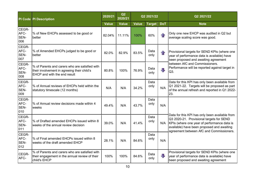|                              | <b>PI Code PI Description</b>                                                                                                        | 2020/21      | Q2<br>2020/21 |              | Q2 2021/22    |                   | Q2 2021/22                                                                                                                                                                                                                                |
|------------------------------|--------------------------------------------------------------------------------------------------------------------------------------|--------------|---------------|--------------|---------------|-------------------|-------------------------------------------------------------------------------------------------------------------------------------------------------------------------------------------------------------------------------------------|
|                              |                                                                                                                                      | <b>Value</b> | <b>Value</b>  | <b>Value</b> | <b>Target</b> | <b>DoT</b>        | <b>Note</b>                                                                                                                                                                                                                               |
| CEGR-<br>AFC-<br>SEN-<br>006 | % of New EHCPs assessed to be good or<br>better                                                                                      | 82.04%       | 11.11%        | 100%         | 60%           | $\curvearrowleft$ | Only one new EHCP was audited in Q2 but<br>average scaling score was good.                                                                                                                                                                |
| CEGR-<br>AFC-<br>SEN-<br>007 | % of Amended EHCPs judged to be good or<br>better                                                                                    | 82.0%        | 82.9%         | 83.5%        | Data<br>only  |                   | Provisional targets for SEND KPIs (where one<br>year of performance data is available) have<br>been proposed and awaiting agreement                                                                                                       |
| CEGR-<br>AFC-<br>SEN-<br>008 | % of Parents and carers who are satisfied with<br>their involvement in agreeing their child's<br><b>EHCP</b> and with the end result | 80.8%        | 100%          | 76.9%        | Data<br>only  | JT,               | between AfC and Commissioners.<br>Performance will be reported against target in<br>Q3.                                                                                                                                                   |
| CEGR-<br>AFC-<br>SEN-<br>009 | % of Annual reviews of EHCPs held within the<br>statutory timescale (12 months)                                                      | N/A          | N/A           | 34.2%        | Data<br>only  | N/A               | Data for this KPI has only been available from<br>Q1 2021-22. Targets will be proposed as part<br>of the annual refresh and reported in Q1 2022-<br>23.                                                                                   |
| CEGR-<br>AFC-<br>SEN-<br>010 | % of Annual review decisions made within 4<br>weeks                                                                                  | 49.4%        | N/A           | 43.7%        | Data<br>only  | N/A               |                                                                                                                                                                                                                                           |
| CEGR-<br>AFC-<br>SEN-<br>011 | % of Drafted amended EHCPs issued within 8<br>weeks of the annual review decision                                                    | 39.0%        | N/A           | 41.4%        | Data<br>only  |                   | Data for this KPI has only been available from<br>Q3 2020-21. Provisional targets for SEND<br>N/A   KPIs (where one year of performance data is<br>available) have been proposed and awaiting<br>agreement between AfC and Commissioners. |
| CEGR-<br>AFC-<br>SEN-<br>012 | % of Final amended EHCPs issued within 8<br>weeks of the draft amended EHCP                                                          | 28.1%        | N/A           | 84.6%        | Data<br>only  | N/A               |                                                                                                                                                                                                                                           |
| CEGR-<br>AFC-                | % of Parents and carers who are satisfied with<br>their engagement in the annual review of their<br>child's EHCP                     | 100%         | 100%          | 84.6%        | Data<br>only  | JП,               | Provisional targets for SEND KPIs (where one<br>year of performance data is available) have<br>been proposed and awaiting agreement                                                                                                       |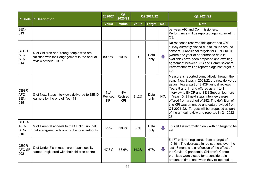|                              | <b>PI Code PI Description</b>                                                                                   | 2020/21               | Q2<br>2020/21                |              | Q2 2021/22    |            | Q2 2021/22                                                                                                                                                                                                                                                                                                                                                                                                                                                                                          |
|------------------------------|-----------------------------------------------------------------------------------------------------------------|-----------------------|------------------------------|--------------|---------------|------------|-----------------------------------------------------------------------------------------------------------------------------------------------------------------------------------------------------------------------------------------------------------------------------------------------------------------------------------------------------------------------------------------------------------------------------------------------------------------------------------------------------|
|                              |                                                                                                                 | <b>Value</b>          | <b>Value</b>                 | <b>Value</b> | <b>Target</b> | <b>DoT</b> | <b>Note</b>                                                                                                                                                                                                                                                                                                                                                                                                                                                                                         |
| SEN-<br>013                  |                                                                                                                 |                       |                              |              |               |            | between AfC and Commissioners.<br>Performance will be reported against target in<br>Q3.                                                                                                                                                                                                                                                                                                                                                                                                             |
| CEGR-<br>AFC-<br>SEN-<br>014 | % of Children and Young people who are<br>satisfied with their engagement in the annual<br>review of their EHCP | 80.65%                | 100%                         | 0%           | Data<br>only  | J          | No response received this quarter as CYP<br>survey currently closed due to issues around<br>consent. Provisional targets for SEND KPIs<br>(where one year of performance data is<br>available) have been proposed and awaiting<br>agreement between AfC and Commissioners.<br>Performance will be reported against target in<br>Q3.                                                                                                                                                                 |
| CEGR-<br>AFC-<br>SEN-<br>015 | % of Next Steps interviews delivered to SEND<br>learners by the end of Year 11                                  | N/A<br>Revised<br>KPI | N/A<br>Revised<br><b>KPI</b> | 31.2%        | Data<br>only  |            | Measure is reported cumulatively through the<br>year. Next Steps in 2021/22 are now delivered<br>as an integral part of EHCP annual reviews in<br>Years 9 and 11 and offered as a 1 to 1<br>interview to EHCP and SEN Support learners<br>N/A   in Year 10. 91 next steps interviews were<br>offered from a cohort of 292. The definition of<br>this KPI was amended and data provided from<br>Q1 2021-22. Targets will be proposed as part<br>of the annual review and reported in Q1 2022-<br>23. |
| CEGR-<br>AFC-<br>SEN-<br>016 | % of Parental appeals to the SEND Tribunal<br>that are agreed in favour of the local authority                  | 25%                   | 100%                         | 50%          | Data<br>only  | 毋          | This KPI is information only with no target to be<br>set.                                                                                                                                                                                                                                                                                                                                                                                                                                           |
| CEGR-<br>AFC-SF-<br>002      | % of Under 5's in reach area (each locality<br>named) registered with their children centre                     | 47.8%                 | 53.6%                        | 44.2%        | 67%           | JI,        | 5,477 children registered from a target of<br>12,401. The decrease in registrations over the<br>last 18 months is a reflection of the effect of<br>the Covid-19 pandemic. Children's Centre<br>premises were closed for a considerable<br>amount of time, and when they re-opened it                                                                                                                                                                                                                |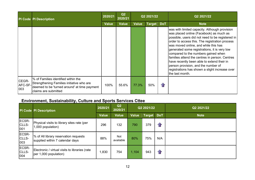|                         | <b>PI Code PI Description</b>                                                                                                                            | 2020/21      | Q2<br>2020/21 | Q2 2021/22   |               |            | Q2 2021/22                                                                                                                                                                                                                                                                                                                                                                                                                                                                                                                                |
|-------------------------|----------------------------------------------------------------------------------------------------------------------------------------------------------|--------------|---------------|--------------|---------------|------------|-------------------------------------------------------------------------------------------------------------------------------------------------------------------------------------------------------------------------------------------------------------------------------------------------------------------------------------------------------------------------------------------------------------------------------------------------------------------------------------------------------------------------------------------|
|                         |                                                                                                                                                          | <b>Value</b> | <b>Value</b>  | <b>Value</b> | <b>Target</b> | <b>DoT</b> | <b>Note</b>                                                                                                                                                                                                                                                                                                                                                                                                                                                                                                                               |
|                         |                                                                                                                                                          |              |               |              |               |            | was with limited capacity. Although provision<br>was placed online (Facebook) as much as<br>possible, users did not need to be registered in<br>order to access this. The registration process<br>was moved online, and while this has<br>generated some registrations, it is very low<br>compared to the numbers gained when<br>families attend the centres in person. Centres<br>have recently been able to extend their in<br>person provision, and the number of<br>registrations has shown a slight increase over<br>the last month. |
| CEGR-<br>AFC-SF-<br>003 | % of Families identified within the<br>Strengthening Families initiative who are<br>deemed to be 'turned around' at time payment<br>claims are submitted | 100%         | 55.6%         | 77.3%        | 50%           | $\bigcap$  |                                                                                                                                                                                                                                                                                                                                                                                                                                                                                                                                           |

# Environment, Sustainability, Culture and Sports Services Cttee

|                       | <b>PI Code PI Description</b>                                            | 2020/21      | Q2<br>2020/21    |              | Q2 2021/22 |     | Q2 2021/22  |
|-----------------------|--------------------------------------------------------------------------|--------------|------------------|--------------|------------|-----|-------------|
|                       |                                                                          | <b>Value</b> | <b>Value</b>     | <b>Value</b> | Target DoT |     | <b>Note</b> |
| ECSR-<br>CLLS-<br>001 | Physical visits to library sites rate (per<br>1,000 population)          | 296          | 132              | 790          | 379        | 介   |             |
| ECSR-<br>CLLS-<br>003 | % of All library reservation requests<br>supplied within 7 calendar days | 88%          | Not<br>available | 80%          | 75%        | N/A |             |
| ECSR-<br>CLLS-<br>004 | Electronic / virtual visits to libraries (rate<br>per 1,000 population)  | 1,830        | 754              | 1,104        | 943        | 介   |             |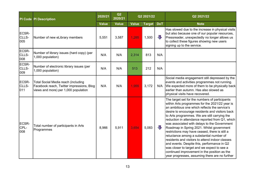|                       | <b>PI Code PI Description</b>                                                                                            | 2020/21      | Q2<br>2020/21 |              | Q2 2021/22    |                         | Q2 2021/22                                                                                                                                                                                                                                                                                                                                                                                                                                                                                                                                                                                                                                                                                                                                             |
|-----------------------|--------------------------------------------------------------------------------------------------------------------------|--------------|---------------|--------------|---------------|-------------------------|--------------------------------------------------------------------------------------------------------------------------------------------------------------------------------------------------------------------------------------------------------------------------------------------------------------------------------------------------------------------------------------------------------------------------------------------------------------------------------------------------------------------------------------------------------------------------------------------------------------------------------------------------------------------------------------------------------------------------------------------------------|
|                       |                                                                                                                          | <b>Value</b> | <b>Value</b>  | <b>Value</b> | <b>Target</b> | <b>DoT</b>              | <b>Note</b>                                                                                                                                                                                                                                                                                                                                                                                                                                                                                                                                                                                                                                                                                                                                            |
| ECSR-<br>CLLS-<br>005 | Number of new eLibrary members                                                                                           | 5,551        | 3,587         | 1,285        | 1,500         | $\overline{\mathbb{L}}$ | Has slowed due to the increase in physical visits<br>but also because one of our popular resources,<br>Pressreader, unexpectedly no longer allows us<br>to collect these figures showing new users<br>signing up to the service.                                                                                                                                                                                                                                                                                                                                                                                                                                                                                                                       |
| ECSR-<br>CLLS-<br>008 | Number of library issues (hard copy) (per<br>1,000 population)                                                           | N/A          | N/A           | 2,314        | 813           | N/A                     |                                                                                                                                                                                                                                                                                                                                                                                                                                                                                                                                                                                                                                                                                                                                                        |
| ECSR-<br>CLLS-<br>009 | Number of electronic library issues (per<br>1,000 population)                                                            | N/A          | N/A           | 513          | 212           | N/A                     |                                                                                                                                                                                                                                                                                                                                                                                                                                                                                                                                                                                                                                                                                                                                                        |
| ECSR-<br>CLLS-<br>011 | Total Social Media reach (including<br>Facebook reach, Twitter impressions, Blog<br>views and more) per 1,000 population | N/A          | N/A           | 1,955        | 3,172         | N/A                     | Social media engagement still depressed by the<br>events and activities programmes not running.<br>We expected more of them to be physically back<br>earlier than autumn. Has also slowed as<br>physical visits have recovered.                                                                                                                                                                                                                                                                                                                                                                                                                                                                                                                        |
| ECSR-<br>CPL-<br>008  | Total number of participants in Arts<br>Programmes                                                                       | 8,966        | 5,911         | 3,654        | 5,083         | U                       | The target set for the numbers of participants<br>within Arts programmes for the 2021/22 year is<br>an ambitious one which reflects the service's<br>desire to encourage residents and visitors back<br>to Arts programmes. We are still carrying the<br>reduction in attendance reported from Q1, which<br>was associated with delays to the Government<br>Roadmap in Spring 2021. Whilst government<br>restrictions may have ceased, there is still a<br>reluctance among a substantial number of<br>residents and visitors to attend indoor classes<br>and events. Despite this, performance in Q2<br>was closer to target and we expect to see a<br>continued improvement in the position as the<br>year progresses, assuming there are no further |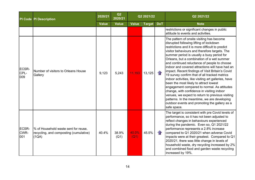|                             | <b>PI Code PI Description</b>                                                           | 2020/21      | Q2<br>2020/21 |               | Q2 2021/22    |                   | Q2 2021/22                                                                                                                                                                                                                                                                                                                                                                                                                                                                                                                                                                                                                                                                                                                                                                                                                                                       |
|-----------------------------|-----------------------------------------------------------------------------------------|--------------|---------------|---------------|---------------|-------------------|------------------------------------------------------------------------------------------------------------------------------------------------------------------------------------------------------------------------------------------------------------------------------------------------------------------------------------------------------------------------------------------------------------------------------------------------------------------------------------------------------------------------------------------------------------------------------------------------------------------------------------------------------------------------------------------------------------------------------------------------------------------------------------------------------------------------------------------------------------------|
|                             |                                                                                         | <b>Value</b> | <b>Value</b>  | <b>Value</b>  | <b>Target</b> | <b>DoT</b>        | <b>Note</b>                                                                                                                                                                                                                                                                                                                                                                                                                                                                                                                                                                                                                                                                                                                                                                                                                                                      |
|                             |                                                                                         |              |               |               |               |                   | restrictions or significant changes in public<br>attitude to events and activities.                                                                                                                                                                                                                                                                                                                                                                                                                                                                                                                                                                                                                                                                                                                                                                              |
| <b>ECSR-</b><br>CPL-<br>009 | Number of visitors to Orleans House<br>Gallery                                          | 9,123        | 5,243         | 11,193        | 13,125        | $\mathbf{r}$      | The pattern of onsite visiting has become<br>disrupted following lifting of lockdown<br>restrictions and it is more difficult to predict<br>visitor behaviours and therefore targets. The<br>summer period is usually a busy period for<br>Orleans, but a combination of a wet summer<br>and continued reluctance of people to choose<br>indoor and covered attractions will have had an<br>impact. Recent findings of Visit Britain's Covid<br>19 survey confirm that of all tracked metrics<br>indoor activities, like visiting art galleries, have<br>been the most likely to attract lowest<br>engagement compared to normal. As attitudes<br>change, with confidence in visiting indoor<br>venues, we expect to return to previous visiting<br>patterns. In the meantime, we are developing<br>outdoor events and promoting the gallery as a<br>safe space. |
| <b>ECSR-</b><br>CWR-<br>001 | % of Household waste sent for reuse,<br>recycling, and composting (cumulative)<br>(1QA) | 40.4%        | 38.9%<br>(Q1) | 40.0%<br>(Q1) | 45.5%         | $\left\{ \right.$ | The target is consistent with pre Covid levels of<br>performance, so it has not been adjusted to<br>reflect changes in behaviours experienced<br>during the pandemic. Even so, Q1 2021/22<br>performance represents a 2.8% increase<br>compared to Q1 2020/21 when adverse Covid<br>impacts were at their greatest. Compared to Q1<br>2020/21, there was little change in levels of<br>household waste, dry recycling increased by 2%<br>and combined food and garden waste recycling<br>increased by 19%.                                                                                                                                                                                                                                                                                                                                                       |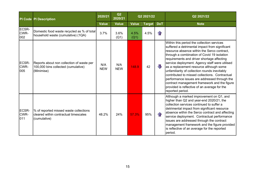|                      | <b>PI Code PI Description</b>                                                                   | 2020/21           | Q2<br>2020/21     |              | Q2 2021/22    |               | Q2 2021/22                                                                                                                                                                                                                                                                                                                                                                                                                                                                                                                                                                                                            |
|----------------------|-------------------------------------------------------------------------------------------------|-------------------|-------------------|--------------|---------------|---------------|-----------------------------------------------------------------------------------------------------------------------------------------------------------------------------------------------------------------------------------------------------------------------------------------------------------------------------------------------------------------------------------------------------------------------------------------------------------------------------------------------------------------------------------------------------------------------------------------------------------------------|
|                      |                                                                                                 | <b>Value</b>      | <b>Value</b>      | <b>Value</b> | <b>Target</b> | <b>DoT</b>    | <b>Note</b>                                                                                                                                                                                                                                                                                                                                                                                                                                                                                                                                                                                                           |
| ECSR-<br>CWR-<br>002 | Domestic food waste recycled as % of total<br>household waste (cumulative) (1QA)                | 3.7%              | 3.6%<br>(Q1)      | 4.5%<br>(Q1) | 4.5%          | $\mathcal{L}$ |                                                                                                                                                                                                                                                                                                                                                                                                                                                                                                                                                                                                                       |
| ECSR-<br>CWR-<br>005 | Reports about non collection of waste per<br>100,000 bins collected (cumulative)<br>(Minimise)  | N/A<br><b>NEW</b> | N/A<br><b>NEW</b> | 148.9        | 42            |               | Within this period the collection services<br>suffered a detrimental impact from significant<br>resource absence within the Serco contract,<br>through a combination of Covid 19 isolation<br>requirements and driver shortage affecting<br>service deployment. Agency staff were utilised<br>$\left $ as a replacement resource although some<br>unfamiliarity of collection rounds inevitably<br>contributed to missed collections. Contractual<br>performance issues are addressed through the<br>contract management framework and the figure<br>provided is reflective of an average for the<br>reported period. |
| ECSR-<br>CWR-<br>011 | % of reported missed waste collections<br>cleared within contractual timescales<br>(cumulative) | 48.2%             | 24%               | 57.3%        | 95%           |               | Although a marked improvement on Q1, and<br>higher than Q2 and year-end 2020/21, the<br>collection services continued to suffer a<br>detrimental impact from significant resource<br>absence within the Serco contract and affecting<br>service deployment. Contractual performance<br>issues are addressed through the contract<br>management framework and the figure provided<br>is reflective of an average for the reported<br>period.                                                                                                                                                                           |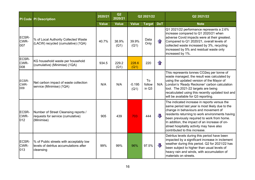|                      | <b>PI Code PI Description</b>                                                                  | 2020/21      | Q2<br>2020/21 |                  | Q2 2021/22            |            | Q2 2021/22                                                                                                                                                                                                                                                                                                                                                               |
|----------------------|------------------------------------------------------------------------------------------------|--------------|---------------|------------------|-----------------------|------------|--------------------------------------------------------------------------------------------------------------------------------------------------------------------------------------------------------------------------------------------------------------------------------------------------------------------------------------------------------------------------|
|                      |                                                                                                | <b>Value</b> | <b>Value</b>  | <b>Value</b>     | <b>Target</b>         | <b>DoT</b> | <b>Note</b>                                                                                                                                                                                                                                                                                                                                                              |
| ECSR-<br>CWR-<br>007 | % of Local Authority Collected Waste<br>(LACW) recycled (cumulative) (1QA)                     | 40.7%        | 38.9%<br>(Q1) | 39.9%<br>(Q1)    | Data<br>Only          |            | Q1 2021/22 performance represents a 2.6%<br>increase compared to Q1 2020/21 when<br>adverse Covid impacts were at their greatest.<br>Compared to Q1 2020/21, overall levels of<br>collected waste increased by 3%, recycling<br>increased by 5% and residual waste only<br>increased by 1%.                                                                              |
| ECSR-<br>CWR-<br>008 | KG household waste per household<br>(cumulative) (Minimise) (1QA)                              | 934.5        | 229.2<br>(Q1) | 228.6<br>(Q1)    | 220                   | $\bigcap$  |                                                                                                                                                                                                                                                                                                                                                                          |
| ECSR-<br>CWR-<br>009 | Net carbon impact of waste collection<br>service (Minimise) (1QA)                              | N/A          | N/A           | $-0.195$<br>(Q1) | To<br>follow<br>in Q3 | N/A        | This represents tonnes CO2eq per tonne of<br>waste managed; the result was calculated by<br>using the updated version of the Mayor of<br>London's 'Ready Reckoner' carbon calculation<br>tool. The 2021-22 targets are being<br>recalculated using this recently updated tool and<br>will be available for Q3 reporting.                                                 |
| ECSR-<br>CWR-<br>012 | Number of Street Cleansing reports /<br>requests for service (cumulative)<br>(Minimise)        | 905          | 439           | 703              | 444                   | JТ,        | The indicated increase in reports versus the<br>same period last year is most likely due to the<br>change in behaviours and movement of<br>residents returning to work environments having<br>been previously required to work from home.<br>In addition, the impact of an increase of on-<br>street hospitality activity may have also<br>contributed to this increase. |
| ECSR-<br>CWR-<br>013 | % of Public streets with acceptably low<br>levels of detritus accumulations after<br>cleansing | 99%          | 99%           | 96%              | 97.5%                 | J          | Detritus levels during this period have been<br>impacted by a significant increase in inclement<br>weather during this period. Q2 for 2021/22 has<br>been subject to higher than usual levels of<br>heavy rain and winds, with accumulation of<br>materials on streets.                                                                                                  |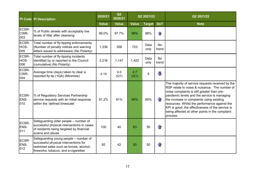|                      | <b>PI Code PI Description</b>                                                                                                                                       | 2020/21      | Q2<br>2020/21 |              | Q2 2021/22    |                         | Q2 2021/22                                                                                                                                                                                                                                                                                                                                                                                                       |
|----------------------|---------------------------------------------------------------------------------------------------------------------------------------------------------------------|--------------|---------------|--------------|---------------|-------------------------|------------------------------------------------------------------------------------------------------------------------------------------------------------------------------------------------------------------------------------------------------------------------------------------------------------------------------------------------------------------------------------------------------------------|
|                      |                                                                                                                                                                     | <b>Value</b> | <b>Value</b>  | <b>Value</b> | <b>Target</b> | <b>DoT</b>              | <b>Note</b>                                                                                                                                                                                                                                                                                                                                                                                                      |
| ECSR-<br>CWR-<br>003 | % of Public streets with acceptably low<br>levels of litter after cleansing                                                                                         | 99.0%        | 97.7%         | 98%          | 98%           | $\mathbf{r}$            |                                                                                                                                                                                                                                                                                                                                                                                                                  |
| ECSR-<br>HOS-<br>005 | Total number of fly-tipping enforcements<br>(Number of penalty notices and warning<br>letters issued to addresses) (No Polarity)                                    | 1,336        | 358           | 723          | Data<br>only  | <b>No</b><br>trend      |                                                                                                                                                                                                                                                                                                                                                                                                                  |
| ECSR-<br>HOS-<br>006 | Total number of fly-tipping incidents<br>identified by or reported to the Council<br>(cumulative) (No Polarity)                                                     | 2,216        | 1,147         | 1,422        | Data<br>only  | <b>No</b><br>trend      |                                                                                                                                                                                                                                                                                                                                                                                                                  |
| ECSR-<br>CWR-<br>004 | Average time (days) taken to clear a<br>reported fly-tip (1QA) (Minimise)                                                                                           | 4.14         | 4.0<br>(Q1)   | 4.7<br>(Q1)  | 5             | $\overline{\mathbb{L}}$ |                                                                                                                                                                                                                                                                                                                                                                                                                  |
| ECSR-<br>ENS-<br>010 | % of Regulatory Services Partnership<br>service requests with an initial response<br>within the 'defined timescale'                                                 | 91.2%        | 81%           | 95%          | 90%           | 4F                      | The majority of service requests received by the<br>RSP relate to noise & nuisance. The number of<br>noise complaints is still greater than pre-<br>pandemic levels and the service is managing<br>the increase in complaints using existing<br>resources. Whilst the performance against the<br>KPI is good, the effectiveness of the service is<br>being affected at other points in the complaint<br>process. |
| ECSR-<br>ENS-<br>011 | Safeguarding older people – number of<br>successful physical interventions in cases<br>of residents being targeted by financial<br>scams and abuse                  | 100          | 40            | 63           | 50            | $\mathbf{r}$            |                                                                                                                                                                                                                                                                                                                                                                                                                  |
| ECSR-<br>ENS-<br>012 | Safeguarding young people – number of<br>successful physical interventions for<br>restricted sales such as knives, alcohol,<br>fireworks, tobacco, and e-cigarettes | 92           | 42            | 50           | 50            | $\mathbf{r}$            |                                                                                                                                                                                                                                                                                                                                                                                                                  |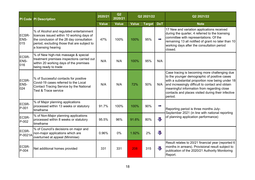|                      | <b>PI Code PI Description</b>                                                                                                                                                                            | 2020/21      | Q2<br>2020/21 |              | Q2 2021/22    |                         | Q2 2021/22                                                                                                                                                                                                                                                                                                            |
|----------------------|----------------------------------------------------------------------------------------------------------------------------------------------------------------------------------------------------------|--------------|---------------|--------------|---------------|-------------------------|-----------------------------------------------------------------------------------------------------------------------------------------------------------------------------------------------------------------------------------------------------------------------------------------------------------------------|
|                      |                                                                                                                                                                                                          | <b>Value</b> | <b>Value</b>  | <b>Value</b> | <b>Target</b> | <b>DoT</b>              | <b>Note</b>                                                                                                                                                                                                                                                                                                           |
| ECSR-<br>ENS-<br>015 | % of Alcohol and regulated entertainment<br>licences issued within 10 working days of<br>the conclusion of the 28 day consultation<br>period, excluding those that are subject to<br>a licensing hearing | 47%          | 100%          | 100%         | 95%           | m.                      | 17 New and variation applications received<br>during the quarter, 4 referred to the licensing<br>committee with representations. Of the<br>remaining 13 all notified of grant no later than 10<br>working days after the consultation period<br>closed.                                                               |
| ECSR-<br>ENS-<br>016 | % of New high-risk massage & special<br>treatment premises inspections carried out<br>within 20 working days of the premises<br>being ready to trade                                                     | N/A          | N/A           | 100%         | 95%           | N/A                     |                                                                                                                                                                                                                                                                                                                       |
| ECSR-<br>ENS-<br>024 | % of Successful contacts for positive<br>Covid-19 cases referred to the Local<br>Contact Tracing Service by the National<br><b>Test &amp; Trace service</b>                                              | N/A          | N/A           | 72%          | 50%           | N/A                     | Case tracing is becoming more challenging due<br>to the younger demographic of positive cases<br>with a substantial proportion now being under 18<br>and increasingly difficult to contact and obtain<br>meaningful information from regarding close<br>contacts and places visited during their infective<br>period. |
| ECSR-<br>P-001       | % of Major planning applications<br>processed within 13 weeks or statutory<br>timeframe                                                                                                                  | 91.7%        | 100%          | 100%         | 90%           | f                       | Reporting period is three months July-<br>September 2021 (in line with national reporting                                                                                                                                                                                                                             |
| ECSR-<br>P-002       | % of Non-Major planning applications<br>processed within 8 weeks or statutory<br>timeframe                                                                                                               | 95.5%        | 96%           | 91.6%        | 80%           | $\blacksquare$          | of planning application performance)                                                                                                                                                                                                                                                                                  |
| ECSR-<br>P-0021A     | % of Council's decisions on major and<br>non-major applications which are<br>overturned at appeal (Minimise)                                                                                             | 0.96%        | $0\%$         | 1.92%        | 2%            | $\overline{\mathbb{L}}$ |                                                                                                                                                                                                                                                                                                                       |
| ECSR-<br>P-004       | Net additional homes provided                                                                                                                                                                            | 331          | 331           | 208          | 315           | JT,                     | Result relates to 20/21 financial year (reported 6<br>months in arrears). Provisional result subject to<br>publication of the 2020/21 Authority Monitoring<br>Report.                                                                                                                                                 |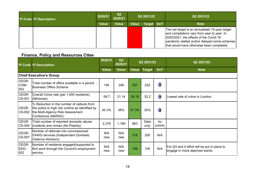| PI Code PI Description | 2020/21      | Q <sub>2</sub><br>2020/21 |              | Q2 2021/22        | Q2 2021/22                                                                                                                                                                                                                              |
|------------------------|--------------|---------------------------|--------------|-------------------|-----------------------------------------------------------------------------------------------------------------------------------------------------------------------------------------------------------------------------------------|
|                        | <b>Value</b> | <b>Value</b>              | <b>Value</b> | <b>Target DoT</b> | <b>Note</b>                                                                                                                                                                                                                             |
|                        |              |                           |              |                   | The set target is an annualised 10-year target<br>and completions vary from year to year. In<br>2020/2021, the effects of the Covid-19<br>  pandemic stalled and/or delayed some schemes  <br>that would have otherwise been completed. |

#### Finance, Policy and Resources Cttee

|                        | <b>PI Code PI Description</b>                                                                                                                             | 2020/21      | Q2<br>2020/21 |              | Q2 2021/22    |                    | Q2 2021/22                                                                    |
|------------------------|-----------------------------------------------------------------------------------------------------------------------------------------------------------|--------------|---------------|--------------|---------------|--------------------|-------------------------------------------------------------------------------|
|                        |                                                                                                                                                           | <b>Value</b> | <b>Value</b>  | <b>Value</b> | <b>Target</b> | <b>DoT</b>         | <b>Note</b>                                                                   |
|                        | <b>Chief Executive's Group</b>                                                                                                                            |              |               |              |               |                    |                                                                               |
| CEGR-<br>COM-<br>002   | Total number of offers available in a period -<br><b>Business Offers Scheme</b>                                                                           | 194          | 246           | 237          | 225           | 几                  |                                                                               |
| CEGR-<br><b>CS-001</b> | Overall Crime rate (per 1,000 residents)<br>(Minimise)                                                                                                    | 58.7         | 31.14         | 29.18        | 32.2          | $1$ r              | Lowest rate of crime in London.                                               |
| CEGR-<br><b>CS-002</b> | I% Reduction in the number of callouts from<br>the police to high risk victims as identified by<br>the Multi-Agency Risk Assessment<br>Conference (MARAC) | 40.3%        | 38%           | 47.3%        | 30%           | $\left\  \right\ $ |                                                                               |
| CEGR-<br>CS-005        | Total number of reported domestic abuse<br>incidents and crimes (No Polarity)                                                                             | 2,379        | 1,189         | 963          | Data<br>only  | No<br>polarity     |                                                                               |
| CEGR-<br><b>CS-007</b> | Number of referrals into commissioned<br><b>VAWG services (Independent Domestic</b><br>Violence Advisors)                                                 | N/A<br>new   | N/A<br>new    | 218          | 200           | N/A                |                                                                               |
| CEGR-<br>EDO-<br>002   | Number of residents engaged/supported to<br>find work through the Council's employment<br>service                                                         | N/A<br>new   | N/A<br>new    | 158          | 100           | N/A                | For Q3 and 4 effort will be put in place to<br>engage in more deprived wards. |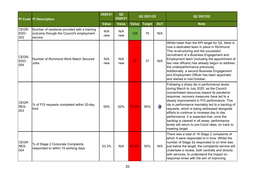|                      | <b>PI Code PI Description</b>                                                                       | 2020/21      | Q2<br>2020/21 |              | Q2 2021/22    |                   | Q2 2021/22                                                                                                                                                                                                                                                                                                                                                                                                                                                                                                                                                   |
|----------------------|-----------------------------------------------------------------------------------------------------|--------------|---------------|--------------|---------------|-------------------|--------------------------------------------------------------------------------------------------------------------------------------------------------------------------------------------------------------------------------------------------------------------------------------------------------------------------------------------------------------------------------------------------------------------------------------------------------------------------------------------------------------------------------------------------------------|
|                      |                                                                                                     | <b>Value</b> | <b>Value</b>  | <b>Value</b> | <b>Target</b> | <b>DoT</b>        | <b>Note</b>                                                                                                                                                                                                                                                                                                                                                                                                                                                                                                                                                  |
| CEGR-<br>EDO-<br>003 | Number of residents provided with a training<br>outcome through the Council's employment<br>service | N/A<br>new   | N/A<br>new    | 125          | 75            | N/A               |                                                                                                                                                                                                                                                                                                                                                                                                                                                                                                                                                              |
| CEGR-<br>EDO-<br>004 | Number of Richmond Work Match Secured<br><b>Jobs</b>                                                | N/A<br>new   | N/A<br>new    | 27           | 37            | N/A               | Whilst lower than the KPI target for Q2, there is<br>now a dedicated team in place in Richmond.<br>This re-structuring and the successful<br>recruitment of a Business Engagement and<br>Employment team (including the appointment of<br>two new officers) has already begun to address<br>the underperformance previously.<br>Additionally, a second Business Engagement<br>and Employment Officer has been appointed<br>and started in mid-October.                                                                                                       |
| CEGR-<br>RES-<br>003 | % of FOI requests completed within 20-day<br>limit                                                  | 59%          | 62%           | 77.9%        | 90%           | $\curvearrowleft$ | Following a sharp dip in performance levels<br>during March to July 2020, as the Council<br>concentrated resources toward its pandemic<br>response, recovery measures have led to a<br>steady improvement in FOI performance. This<br>dip in performance inevitably led to a backlog of<br>requests, which is being addressed alongside<br>efforts to continue to increase day to day<br>performance. It is expected that, once the<br>backlog is cleared in all areas, performance<br>levels will return to pre-Covid rates, on track to<br>meeting target. |
| CEGR-<br>RES-<br>004 | % of Stage 2 Corporate Complaints<br>responded to within 15 working days                            | 53.3%        | N/A           | 47.4%        | 50%           | N/A               | There was a total of 19 Stage 2 complaints of<br>which 9 were responded to in time. Whilst the<br>number of Stage 2s responded to on time was<br>just below the target, the complaints service will<br>undertake a review, both centrally and directly<br>with services, to understand the impact on<br>response times with the aim of improving                                                                                                                                                                                                             |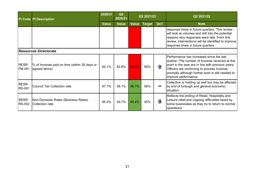|                               | <b>PI Code PI Description</b>                                  | 2020/21      | Q2<br>2020/21 |       | Q2 2021/22    |                   | Q2 2021/22                                                                                                                                                                                                                                                                     |
|-------------------------------|----------------------------------------------------------------|--------------|---------------|-------|---------------|-------------------|--------------------------------------------------------------------------------------------------------------------------------------------------------------------------------------------------------------------------------------------------------------------------------|
|                               |                                                                | <b>Value</b> | <b>Value</b>  | Value | <b>Target</b> | <b>DoT</b>        | <b>Note</b>                                                                                                                                                                                                                                                                    |
|                               |                                                                |              |               |       |               |                   | response times in future quarters. This review<br>will look at volumes and drill into the potential<br>reasons why responses were late. From this<br>review, interventions will be identified to improve<br>response times in future quarters.                                 |
|                               | <b>Resources Directorate</b>                                   |              |               |       |               |                   |                                                                                                                                                                                                                                                                                |
| <b>RESR-</b><br><b>FM-001</b> | % of Invoices paid on time (within 30 days or<br>agreed terms) | 84.1%        | 82.8%         | 84.5% | 90%           | $\curvearrowleft$ | Performance has increased since the last<br>quarter. The number of invoices received at this<br>point in the year are in line with previous years.<br>Officers are continuing to process invoices<br>promptly although further work is still needed to<br>improve performance. |
| <b>RESR-</b><br><b>RS-001</b> | <b>Council Tax Collection rate</b>                             | 97.7%        | 56.1%         | 56.1% | 56%           | Police Co         | Collection is holding up well but may be affected<br>by end of furlough and general economic<br>situation.                                                                                                                                                                     |
| <b>RESR-</b><br><b>RS-002</b> | <b>Non-Domestic Rates (Business Rates)</b><br>Collection rate  | 85.4%        | 49.7%         | 45.4% | 45%           | Д                 | Reflects the ending of Retail, Hospitality and<br>Leisure relief and ongoing difficulties faced by<br>some businesses as they try to return to normal<br>operations.                                                                                                           |